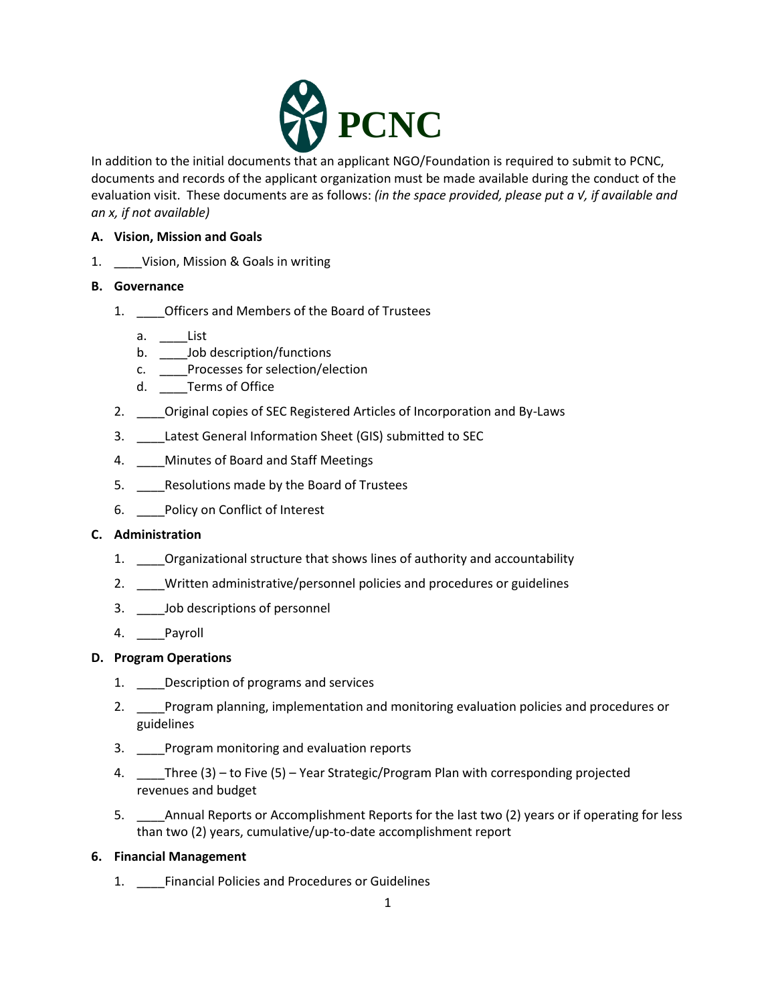

In addition to the initial documents that an applicant NGO/Foundation is required to submit to PCNC, documents and records of the applicant organization must be made available during the conduct of the evaluation visit. These documents are as follows: *(in the space provided, please put a √, if available and an x, if not available)*

# **A. Vision, Mission and Goals**

1. \_\_\_\_Vision, Mission & Goals in writing

## **B. Governance**

- 1. \_\_\_\_Officers and Members of the Board of Trustees
	- a. \_\_\_\_List
	- b. \_\_\_\_Job description/functions
	- c. \_\_\_\_Processes for selection/election
	- d. Terms of Office
- 2. **Original copies of SEC Registered Articles of Incorporation and By-Laws**
- 3. \_\_\_\_Latest General Information Sheet (GIS) submitted to SEC
- 4. \_\_\_\_Minutes of Board and Staff Meetings
- 5. \_\_\_\_\_Resolutions made by the Board of Trustees
- 6. Policy on Conflict of Interest

## **C. Administration**

- 1. Organizational structure that shows lines of authority and accountability
- 2. \_\_\_\_Written administrative/personnel policies and procedures or guidelines
- 3. \_\_\_\_Job descriptions of personnel
- 4. \_\_\_\_Payroll

## **D. Program Operations**

- 1. Description of programs and services
- 2. \_\_\_\_Program planning, implementation and monitoring evaluation policies and procedures or guidelines
- 3. \_\_\_\_Program monitoring and evaluation reports
- 4. Three (3) to Five (5) Year Strategic/Program Plan with corresponding projected revenues and budget
- 5. \_\_\_\_Annual Reports or Accomplishment Reports for the last two (2) years or if operating for less than two (2) years, cumulative/up-to-date accomplishment report

## **6. Financial Management**

1. \_\_\_\_Financial Policies and Procedures or Guidelines